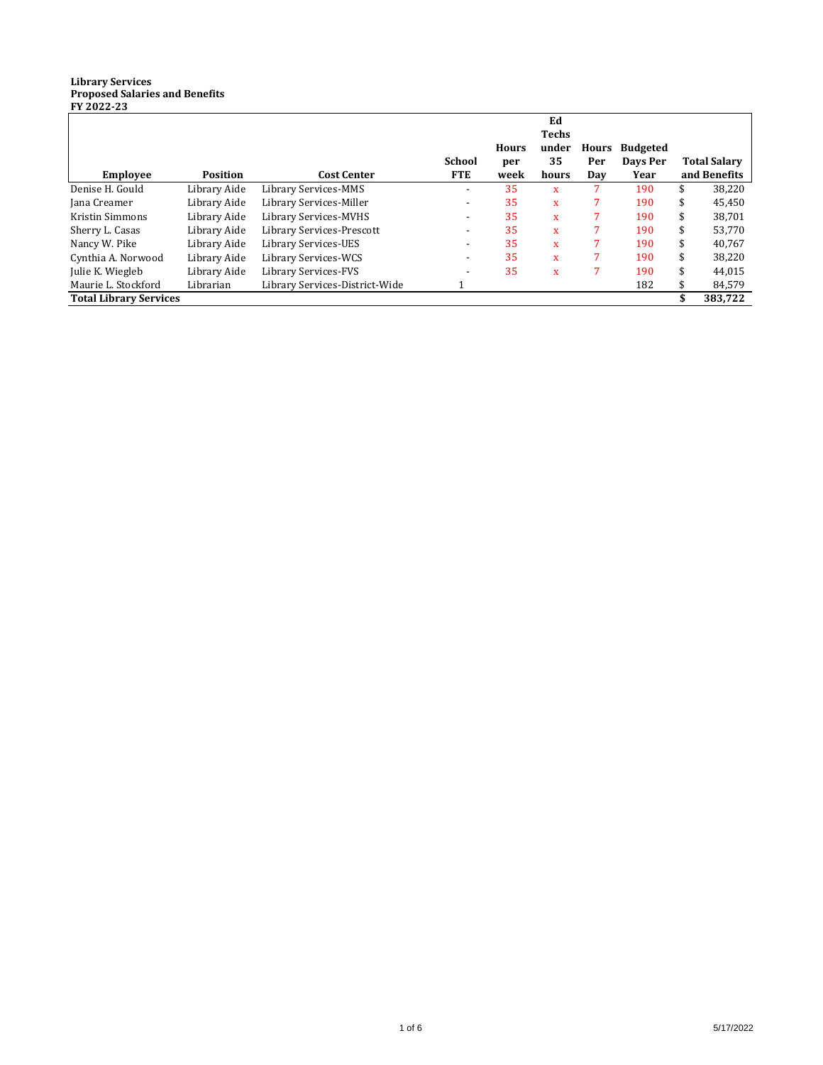## **Library Services Proposed Salaries and Benefits FY 2022-23**

| <b>Employee</b>               | <b>Position</b> | <b>Cost Center</b>             | <b>School</b><br><b>FTE</b> | <b>Hours</b><br>per<br>week | Ed<br><b>Techs</b><br>under<br>35<br>hours | Hours<br>Per<br>Day | <b>Budgeted</b><br>Days Per<br>Year |    | <b>Total Salary</b><br>and Benefits |
|-------------------------------|-----------------|--------------------------------|-----------------------------|-----------------------------|--------------------------------------------|---------------------|-------------------------------------|----|-------------------------------------|
| Denise H. Gould               | Library Aide    | Library Services-MMS           |                             | 35                          | $\mathbf{x}$                               |                     | 190                                 | S  | 38,220                              |
| Jana Creamer                  | Library Aide    | Library Services-Miller        |                             | 35                          | X                                          |                     | 190                                 | \$ | 45,450                              |
| Kristin Simmons               | Library Aide    | Library Services-MVHS          |                             | 35                          | $\mathbf{x}$                               |                     | 190                                 | \$ | 38.701                              |
| Sherry L. Casas               | Library Aide    | Library Services-Prescott      |                             | 35                          | $\mathbf{x}$                               |                     | 190                                 |    | 53,770                              |
| Nancy W. Pike                 | Library Aide    | Library Services-UES           |                             | 35                          | $\mathbf{x}$                               |                     | 190                                 |    | 40.767                              |
| Cynthia A. Norwood            | Library Aide    | Library Services-WCS           |                             | 35                          | $\mathbf{x}$                               |                     | 190                                 | \$ | 38,220                              |
| Julie K. Wiegleb              | Library Aide    | Library Services-FVS           | $\overline{\phantom{a}}$    | 35                          | $\overline{\mathbf{x}}$                    |                     | 190                                 | \$ | 44,015                              |
| Maurie L. Stockford           | Librarian       | Library Services-District-Wide |                             |                             |                                            |                     | 182                                 |    | 84,579                              |
| <b>Total Library Services</b> |                 |                                |                             |                             |                                            |                     |                                     |    | 383,722                             |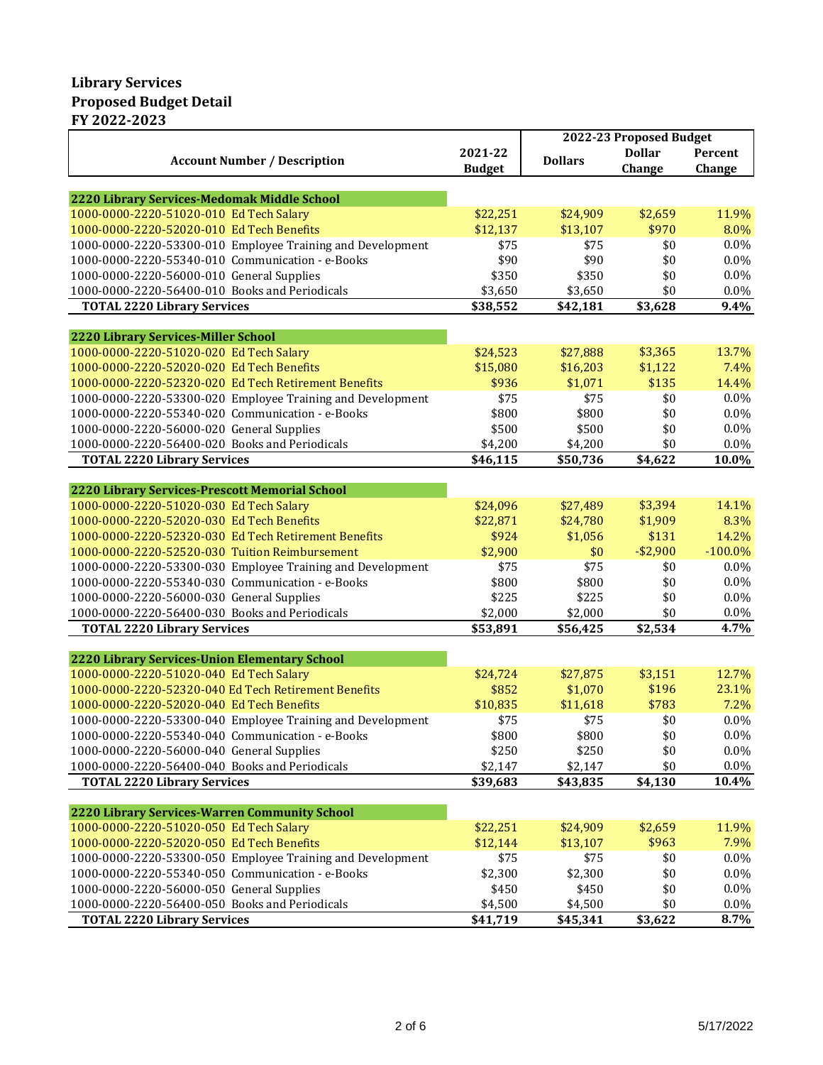## **Library Services Proposed Budget Detail FY 2022-2023**

|                                                            |               |                | 2022-23 Proposed Budget |            |
|------------------------------------------------------------|---------------|----------------|-------------------------|------------|
|                                                            | 2021-22       |                | <b>Dollar</b>           | Percent    |
| <b>Account Number / Description</b>                        | <b>Budget</b> | <b>Dollars</b> | Change                  | Change     |
|                                                            |               |                |                         |            |
| 2220 Library Services-Medomak Middle School                |               |                |                         |            |
| 1000-0000-2220-51020-010 Ed Tech Salary                    | \$22,251      | \$24,909       | \$2,659                 | 11.9%      |
| 1000-0000-2220-52020-010 Ed Tech Benefits                  | \$12,137      | \$13,107       | \$970                   | 8.0%       |
| 1000-0000-2220-53300-010 Employee Training and Development | \$75          | \$75           | \$0                     | $0.0\%$    |
| 1000-0000-2220-55340-010 Communication - e-Books           | \$90          | \$90           | \$0                     | 0.0%       |
| 1000-0000-2220-56000-010 General Supplies                  | \$350         | \$350          | \$0                     | 0.0%       |
| 1000-0000-2220-56400-010 Books and Periodicals             | \$3,650       | \$3,650        | \$0                     | 0.0%       |
| <b>TOTAL 2220 Library Services</b>                         | \$38,552      | \$42,181       | \$3,628                 | 9.4%       |
|                                                            |               |                |                         |            |
| 2220 Library Services-Miller School                        |               |                |                         |            |
| 1000-0000-2220-51020-020 Ed Tech Salary                    | \$24,523      | \$27,888       | \$3,365                 | 13.7%      |
| 1000-0000-2220-52020-020 Ed Tech Benefits                  | \$15,080      | \$16,203       | \$1,122                 | 7.4%       |
| 1000-0000-2220-52320-020 Ed Tech Retirement Benefits       | \$936         | \$1,071        | \$135                   | 14.4%      |
| 1000-0000-2220-53300-020 Employee Training and Development | \$75          | \$75           | \$0                     | $0.0\%$    |
| 1000-0000-2220-55340-020 Communication - e-Books           | \$800         | \$800          | \$0                     | $0.0\%$    |
| 1000-0000-2220-56000-020 General Supplies                  | \$500         | \$500          | \$0                     | 0.0%       |
| 1000-0000-2220-56400-020 Books and Periodicals             | \$4,200       | \$4,200        | \$0                     | 0.0%       |
| <b>TOTAL 2220 Library Services</b>                         | \$46,115      | \$50,736       | \$4,622                 | 10.0%      |
|                                                            |               |                |                         |            |
| 2220 Library Services-Prescott Memorial School             |               |                |                         |            |
| 1000-0000-2220-51020-030 Ed Tech Salary                    | \$24,096      | \$27,489       | \$3,394                 | 14.1%      |
| 1000-0000-2220-52020-030 Ed Tech Benefits                  | \$22,871      | \$24,780       | \$1,909                 | 8.3%       |
| 1000-0000-2220-52320-030 Ed Tech Retirement Benefits       | \$924         | \$1,056        | \$131                   | 14.2%      |
| 1000-0000-2220-52520-030 Tuition Reimbursement             | \$2,900       | \$0            | $-$2,900$               | $-100.0\%$ |
| 1000-0000-2220-53300-030 Employee Training and Development | \$75          | \$75           | \$0                     | $0.0\%$    |
| 1000-0000-2220-55340-030 Communication - e-Books           | \$800         | \$800          | \$0                     | 0.0%       |
| 1000-0000-2220-56000-030 General Supplies                  | \$225         | \$225          | \$0                     | 0.0%       |
| 1000-0000-2220-56400-030 Books and Periodicals             | \$2,000       | \$2,000        | \$0                     | 0.0%       |
| <b>TOTAL 2220 Library Services</b>                         | \$53,891      | \$56,425       | \$2,534                 | 4.7%       |
|                                                            |               |                |                         |            |
| 2220 Library Services-Union Elementary School              |               |                |                         |            |
| 1000-0000-2220-51020-040 Ed Tech Salary                    | \$24,724      | \$27,875       | \$3,151                 | 12.7%      |
| 1000-0000-2220-52320-040 Ed Tech Retirement Benefits       | \$852         | \$1,070        | \$196                   | 23.1%      |
| 1000-0000-2220-52020-040 Ed Tech Benefits                  | \$10,835      | \$11,618       | \$783                   | 7.2%       |
| 1000-0000-2220-53300-040 Employee Training and Development | \$75          | \$75           | \$0                     | 0.0%       |
| 1000-0000-2220-55340-040 Communication - e-Books           | \$800         | \$800          | \$0                     | 0.0%       |
| 1000-0000-2220-56000-040 General Supplies                  | \$250         | \$250          | \$0                     | 0.0%       |
| 1000-0000-2220-56400-040 Books and Periodicals             | \$2,147       | \$2,147        | \$0                     | 0.0%       |
| <b>TOTAL 2220 Library Services</b>                         | \$39,683      | \$43,835       | \$4,130                 | 10.4%      |
|                                                            |               |                |                         |            |
| 2220 Library Services-Warren Community School              |               |                |                         |            |
| 1000-0000-2220-51020-050 Ed Tech Salary                    | \$22,251      | \$24,909       | \$2,659                 | 11.9%      |
| 1000-0000-2220-52020-050 Ed Tech Benefits                  | \$12,144      | \$13,107       | \$963                   | 7.9%       |
| 1000-0000-2220-53300-050 Employee Training and Development | \$75          | \$75           | \$0                     | $0.0\%$    |
| 1000-0000-2220-55340-050 Communication - e-Books           | \$2,300       | \$2,300        | \$0                     | 0.0%       |
| 1000-0000-2220-56000-050 General Supplies                  | \$450         | \$450          | \$0                     | 0.0%       |
| 1000-0000-2220-56400-050 Books and Periodicals             | \$4,500       | \$4,500        | \$0                     | 0.0%       |
| <b>TOTAL 2220 Library Services</b>                         | \$41,719      | \$45,341       | \$3,622                 | 8.7%       |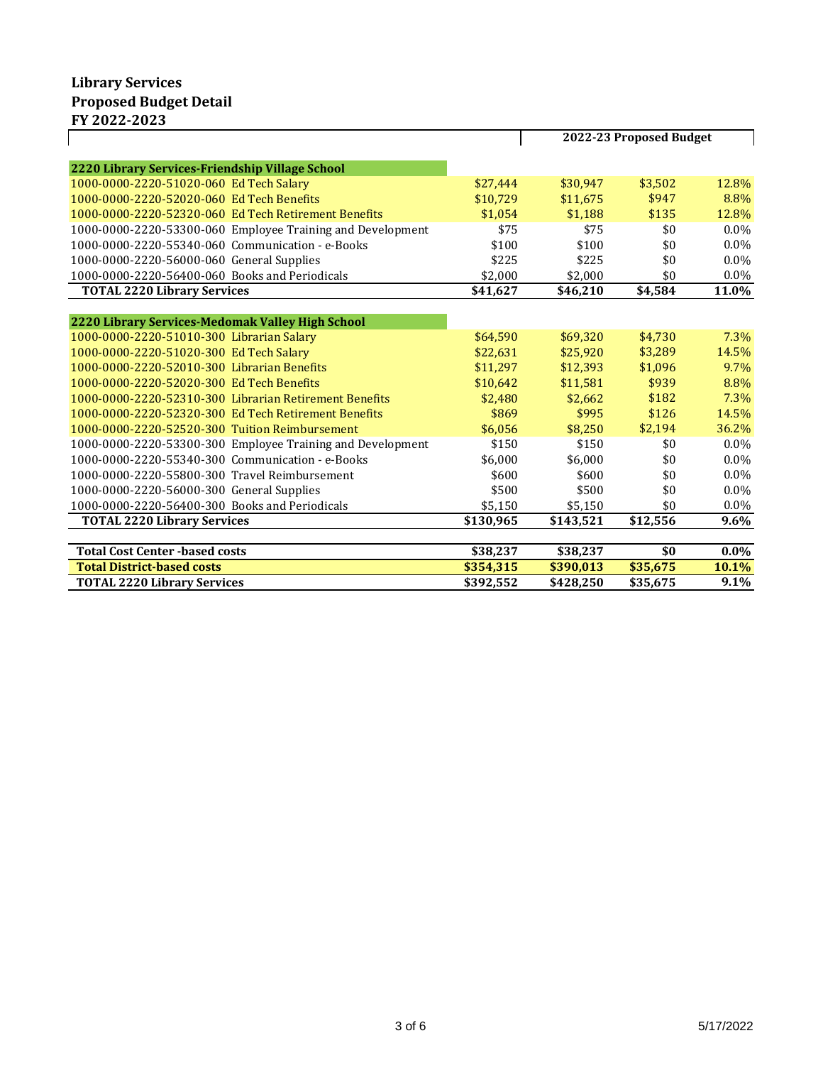|                                                            |           | 2022-23 Proposed Budget |          |         |
|------------------------------------------------------------|-----------|-------------------------|----------|---------|
| 2220 Library Services-Friendship Village School            |           |                         |          |         |
| 1000-0000-2220-51020-060 Ed Tech Salary                    | \$27,444  | \$30,947                | \$3,502  | 12.8%   |
| 1000-0000-2220-52020-060 Ed Tech Benefits                  | \$10,729  | \$11,675                | \$947    | 8.8%    |
| 1000-0000-2220-52320-060 Ed Tech Retirement Benefits       | \$1.054   | \$1,188                 | \$135    | 12.8%   |
| 1000-0000-2220-53300-060 Employee Training and Development | \$75      | \$75                    | \$0      | $0.0\%$ |
| 1000-0000-2220-55340-060 Communication - e-Books           | \$100     | \$100                   | \$0      | $0.0\%$ |
| 1000-0000-2220-56000-060 General Supplies                  | \$225     | \$225                   | \$0      | $0.0\%$ |
| 1000-0000-2220-56400-060 Books and Periodicals             | \$2.000   | \$2,000                 | \$0      | $0.0\%$ |
| <b>TOTAL 2220 Library Services</b>                         | \$41,627  | \$46,210                | \$4,584  | 11.0%   |
|                                                            |           |                         |          |         |
| 2220 Library Services-Medomak Valley High School           |           |                         |          |         |
| 1000-0000-2220-51010-300 Librarian Salary                  | \$64.590  | \$69,320                | \$4,730  | $7.3\%$ |
| 1000-0000-2220-51020-300 Ed Tech Salary                    | \$22,631  | \$25,920                | \$3,289  | 14.5%   |
| 1000-0000-2220-52010-300 Librarian Benefits                | \$11.297  | \$12.393                | \$1,096  | 9.7%    |
| 1000-0000-2220-52020-300 Ed Tech Benefits                  | \$10,642  | \$11,581                | \$939    | 8.8%    |
| 1000-0000-2220-52310-300 Librarian Retirement Benefits     | \$2.480   | \$2.662                 | \$182    | 7.3%    |
| 1000-0000-2220-52320-300 Ed Tech Retirement Benefits       | \$869     | \$995                   | \$126    | 14.5%   |
| 1000-0000-2220-52520-300 Tuition Reimbursement             | \$6,056   | \$8,250                 | \$2,194  | 36.2%   |
| 1000-0000-2220-53300-300 Employee Training and Development | \$150     | \$150                   | \$0      | $0.0\%$ |
| 1000-0000-2220-55340-300 Communication - e-Books           | \$6,000   | \$6,000                 | \$0      | $0.0\%$ |
| 1000-0000-2220-55800-300 Travel Reimbursement              | \$600     | \$600                   | \$0      | $0.0\%$ |
| 1000-0000-2220-56000-300 General Supplies                  | \$500     | \$500                   | \$0      | $0.0\%$ |
| 1000-0000-2220-56400-300 Books and Periodicals             | \$5,150   | \$5,150                 | \$0      | 0.0%    |
| <b>TOTAL 2220 Library Services</b>                         | \$130,965 | \$143,521               | \$12,556 | 9.6%    |
|                                                            |           |                         |          |         |
| <b>Total Cost Center -based costs</b>                      | \$38,237  | \$38,237                | \$0      | $0.0\%$ |
| <b>Total District-based costs</b>                          | \$354,315 | \$390,013               | \$35,675 | 10.1%   |
| <b>TOTAL 2220 Library Services</b>                         | \$392,552 | \$428,250               | \$35,675 | 9.1%    |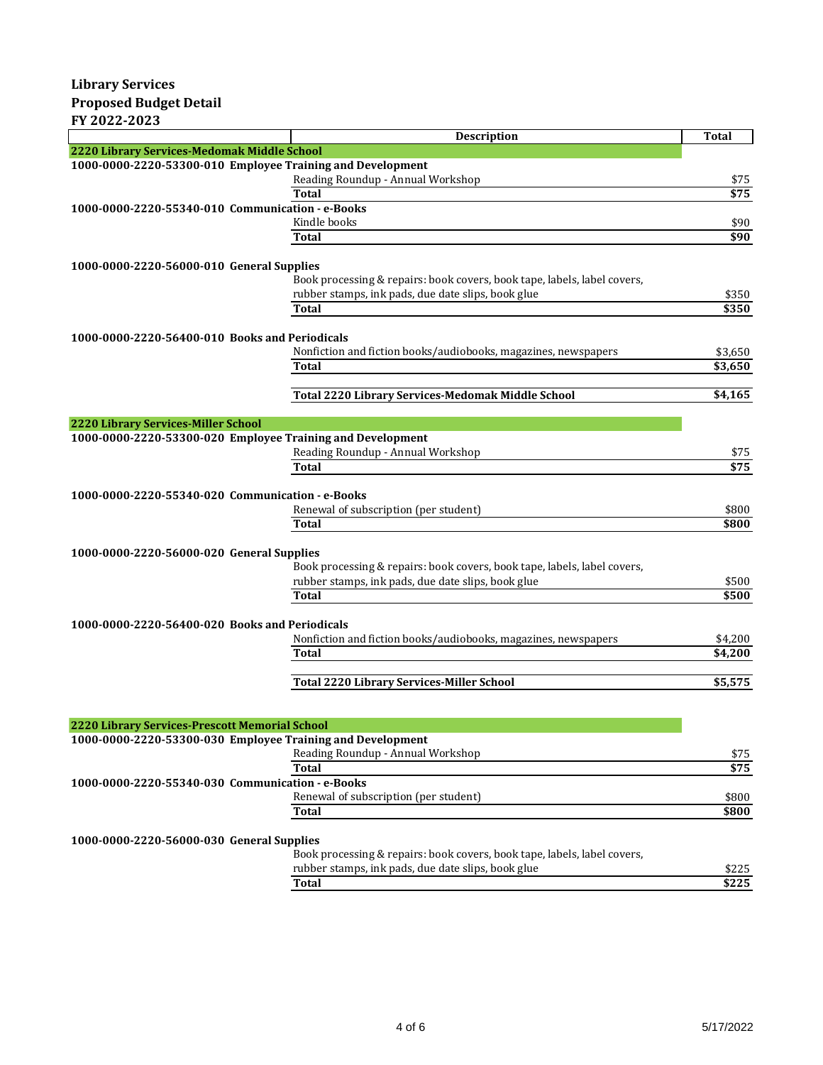|                                                            | Description                                                              | <b>Total</b>     |
|------------------------------------------------------------|--------------------------------------------------------------------------|------------------|
| 2220 Library Services-Medomak Middle School                |                                                                          |                  |
| 1000-0000-2220-53300-010 Employee Training and Development |                                                                          |                  |
|                                                            | Reading Roundup - Annual Workshop                                        | \$75             |
|                                                            | <b>Total</b>                                                             | $\overline{$}75$ |
| 1000-0000-2220-55340-010 Communication - e-Books           |                                                                          |                  |
|                                                            | Kindle books                                                             | \$90             |
|                                                            | Total                                                                    | \$90             |
| 1000-0000-2220-56000-010 General Supplies                  |                                                                          |                  |
|                                                            | Book processing & repairs: book covers, book tape, labels, label covers, |                  |
|                                                            | rubber stamps, ink pads, due date slips, book glue                       | \$350            |
|                                                            | <b>Total</b>                                                             | \$350            |
|                                                            |                                                                          |                  |
| 1000-0000-2220-56400-010 Books and Periodicals             |                                                                          |                  |
|                                                            | Nonfiction and fiction books/audiobooks, magazines, newspapers           | \$3,650          |
|                                                            | <b>Total</b>                                                             | \$3,650          |
|                                                            |                                                                          |                  |
|                                                            | Total 2220 Library Services-Medomak Middle School                        | \$4,165          |
|                                                            |                                                                          |                  |
| 2220 Library Services-Miller School                        |                                                                          |                  |
| 1000-0000-2220-53300-020 Employee Training and Development | Reading Roundup - Annual Workshop                                        |                  |
|                                                            | <b>Total</b>                                                             | \$75<br>\$75     |
|                                                            |                                                                          |                  |
| 1000-0000-2220-55340-020 Communication - e-Books           |                                                                          |                  |
|                                                            | Renewal of subscription (per student)                                    | \$800            |
|                                                            | Total                                                                    | \$800            |
|                                                            |                                                                          |                  |
| 1000-0000-2220-56000-020 General Supplies                  |                                                                          |                  |
|                                                            | Book processing & repairs: book covers, book tape, labels, label covers, |                  |
|                                                            | rubber stamps, ink pads, due date slips, book glue                       | \$500            |
|                                                            | <b>Total</b>                                                             | \$500            |
|                                                            |                                                                          |                  |
| 1000-0000-2220-56400-020 Books and Periodicals             |                                                                          |                  |
|                                                            | Nonfiction and fiction books/audiobooks, magazines, newspapers           | \$4,200          |
|                                                            | <b>Total</b>                                                             | \$4,200          |
|                                                            | <b>Total 2220 Library Services-Miller School</b>                         | \$5,575          |
|                                                            |                                                                          |                  |
|                                                            |                                                                          |                  |
| 2220 Library Services-Prescott Memorial School             |                                                                          |                  |
| 1000-0000-2220-53300-030 Employee Training and Development |                                                                          |                  |
|                                                            | Reading Roundup - Annual Workshop                                        | \$75             |
|                                                            | <b>Total</b>                                                             | \$75             |
| 1000-0000-2220-55340-030 Communication - e-Books           |                                                                          |                  |
|                                                            | Renewal of subscription (per student)                                    | \$800            |
|                                                            | Total                                                                    | \$800            |
|                                                            |                                                                          |                  |
| 1000-0000-2220-56000-030 General Supplies                  |                                                                          |                  |
|                                                            | Book processing & repairs: book covers, book tape, labels, label covers, |                  |
|                                                            | rubber stamps, ink pads, due date slips, book glue                       | \$225            |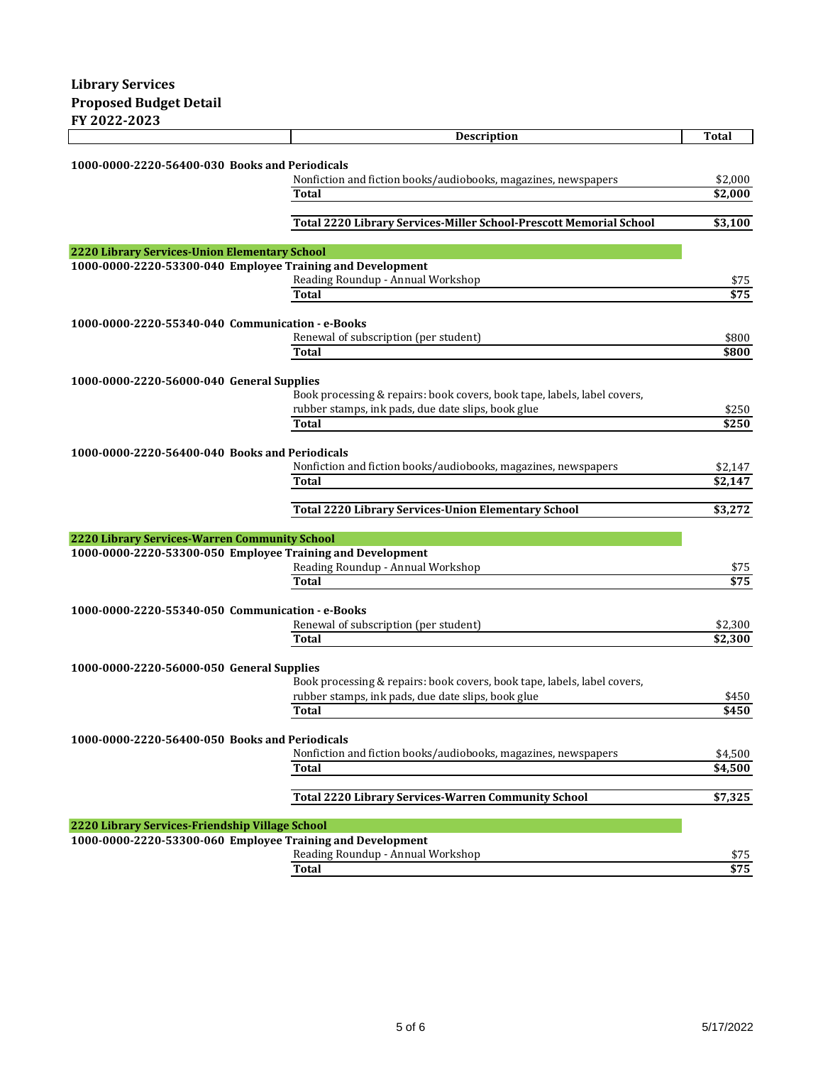|                                                            | <b>Description</b>                                                       | <b>Total</b> |
|------------------------------------------------------------|--------------------------------------------------------------------------|--------------|
|                                                            |                                                                          |              |
| 1000-0000-2220-56400-030 Books and Periodicals             |                                                                          |              |
|                                                            | Nonfiction and fiction books/audiobooks, magazines, newspapers           | \$2,000      |
|                                                            | Total                                                                    | \$2,000      |
|                                                            | Total 2220 Library Services-Miller School-Prescott Memorial School       |              |
|                                                            |                                                                          | \$3,100      |
| 2220 Library Services-Union Elementary School              |                                                                          |              |
| 1000-0000-2220-53300-040 Employee Training and Development |                                                                          |              |
|                                                            | Reading Roundup - Annual Workshop                                        | \$75         |
|                                                            | Total                                                                    | \$75         |
|                                                            |                                                                          |              |
| 1000-0000-2220-55340-040 Communication - e-Books           |                                                                          |              |
|                                                            | Renewal of subscription (per student)                                    | \$800        |
|                                                            | Total                                                                    | \$800        |
|                                                            |                                                                          |              |
| 1000-0000-2220-56000-040 General Supplies                  |                                                                          |              |
|                                                            | Book processing & repairs: book covers, book tape, labels, label covers, |              |
|                                                            | rubber stamps, ink pads, due date slips, book glue                       | \$250        |
|                                                            | <b>Total</b>                                                             | \$250        |
| 1000-0000-2220-56400-040 Books and Periodicals             |                                                                          |              |
|                                                            | Nonfiction and fiction books/audiobooks, magazines, newspapers           | \$2,147      |
|                                                            | Total                                                                    | \$2,147      |
|                                                            |                                                                          |              |
|                                                            | <b>Total 2220 Library Services-Union Elementary School</b>               | \$3,272      |
|                                                            |                                                                          |              |
| 2220 Library Services-Warren Community School              |                                                                          |              |
| 1000-0000-2220-53300-050 Employee Training and Development |                                                                          |              |
|                                                            | Reading Roundup - Annual Workshop                                        | \$75         |
|                                                            | Total                                                                    | \$75         |
|                                                            |                                                                          |              |
| 1000-0000-2220-55340-050 Communication - e-Books           |                                                                          |              |
|                                                            | Renewal of subscription (per student)<br>Total                           | \$2,300      |
|                                                            |                                                                          | \$2,300      |
| 1000-0000-2220-56000-050 General Supplies                  |                                                                          |              |
|                                                            | Book processing & repairs: book covers, book tape, labels, label covers, |              |
|                                                            | rubber stamps, ink pads, due date slips, book glue                       | \$450        |
|                                                            | Total                                                                    | \$450        |
|                                                            |                                                                          |              |
| 1000-0000-2220-56400-050 Books and Periodicals             |                                                                          |              |
|                                                            | Nonfiction and fiction books/audiobooks, magazines, newspapers           | \$4,500      |
|                                                            | Total                                                                    | \$4,500      |
|                                                            |                                                                          |              |
|                                                            | <b>Total 2220 Library Services-Warren Community School</b>               | \$7,325      |
|                                                            |                                                                          |              |
| 2220 Library Services-Friendship Village School            |                                                                          |              |
| 1000-0000-2220-53300-060 Employee Training and Development |                                                                          |              |
|                                                            |                                                                          |              |
|                                                            | Reading Roundup - Annual Workshop<br><b>Total</b>                        | \$75<br>\$75 |